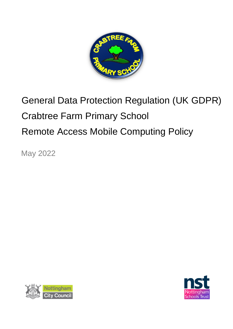

# General Data Protection Regulation (UK GDPR) Crabtree Farm Primary School Remote Access Mobile Computing Policy

May 2022



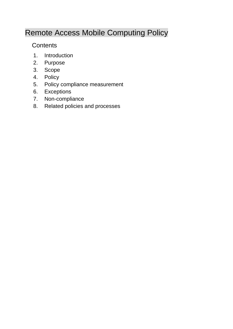# Remote Access Mobile Computing Policy

## **Contents**

- 1. Introduction
- 2. Purpose
- 3. Scope
- 4. Policy
- 5. Policy compliance measurement
- 6. Exceptions
- 7. Non-compliance
- 8. Related policies and processes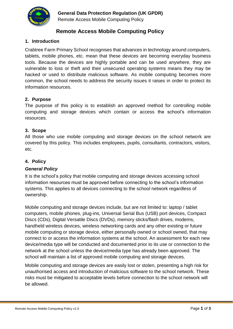

Remote Access Mobile Computing Policy

### **Remote Access Mobile Computing Policy**

#### **1. Introduction**

Crabtree Farm Primary School recognises that advances in technology around computers, tablets, mobile phones, etc. mean that these devices are becoming everyday business tools. Because the devices are highly portable and can be used anywhere, they are vulnerable to loss or theft and their unsecured operating systems means they may be hacked or used to distribute malicious software. As mobile computing becomes more common, the school needs to address the security issues it raises in order to protect its information resources.

#### **2. Purpose**

The purpose of this policy is to establish an approved method for controlling mobile computing and storage devices which contain or access the school's information resources.

#### **3. Scope**

All those who use mobile computing and storage devices on the school network are covered by this policy. This includes employees, pupils, consultants, contractors, visitors, etc.

#### **4. Policy**

#### *General Policy*

It is the school's policy that mobile computing and storage devices accessing school information resources must be approved before connecting to the school's information systems. This applies to all devices connecting to the school network regardless of ownership.

Mobile computing and storage devices include, but are not limited to: laptop / tablet computers, mobile phones, plug-ins, Universal Serial Bus (USB) port devices, Compact Discs (CDs), Digital Versatile Discs (DVDs), memory sticks/flash drives, modems, handheld wireless devices, wireless networking cards and any other existing or future mobile computing or storage device, either personally owned or school owned, that may connect to or access the information systems at the school. An assessment for each new device/media type will be conducted and documented prior to its use or connection to the network at the school unless the device/media type has already been approved. The school will maintain a list of approved mobile computing and storage devices.

Mobile computing and storage devices are easily lost or stolen, presenting a high risk for unauthorised access and introduction of malicious software to the school network. These risks must be mitigated to acceptable levels before connection to the school network will be allowed.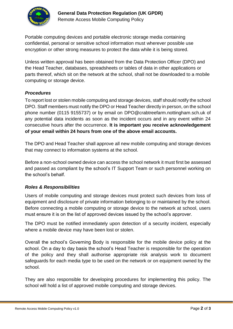

Portable computing devices and portable electronic storage media containing confidential, personal or sensitive school information must wherever possible use encryption or other strong measures to protect the data while it is being stored.

Unless written approval has been obtained from the Data Protection Officer (DPO) and the Head Teacher, databases, spreadsheets or tables of data in other applications or parts thereof, which sit on the network at the school, shall not be downloaded to a mobile computing or storage device.

#### *Procedures*

To report lost or stolen mobile computing and storage devices, staff should notify the school DPO. Staff members must notify the DPO or Head Teacher directly in person, on the school phone number (0115 9155737) or by email on DPO@crabtreefarm.nottingham.sch.uk of any potential data incidents as soon as the incident occurs and in any event within 24 consecutive hours after the occurrence. **It is important you receive acknowledgement of your email within 24 hours from one of the above email accounts.**

The DPO and Head Teacher shall approve all new mobile computing and storage devices that may connect to information systems at the school.

Before a non-school owned device can access the school network it must first be assessed and passed as compliant by the school's IT Support Team or such personnel working on the school's behalf.

#### *Roles & Responsibilities*

Users of mobile computing and storage devices must protect such devices from loss of equipment and disclosure of private information belonging to or maintained by the school. Before connecting a mobile computing or storage device to the network at school, users must ensure it is on the list of approved devices issued by the school's approver.

The DPO must be notified immediately upon detection of a security incident, especially where a mobile device may have been lost or stolen.

Overall the school's Governing Body is responsible for the mobile device policy at the school. On a day to day basis the school's Head Teacher is responsible for the operation of the policy and they shall authorise appropriate risk analysis work to document safeguards for each media type to be used on the network or on equipment owned by the school.

They are also responsible for developing procedures for implementing this policy. The school will hold a list of approved mobile computing and storage devices.